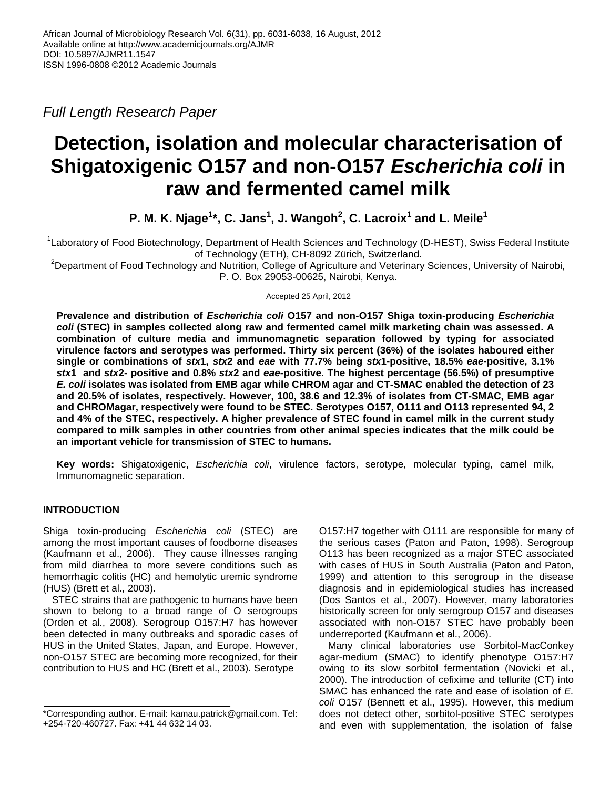*Full Length Research Paper*

# **Detection, isolation and molecular characterisation of Shigatoxigenic O157 and non-O157** *Escherichia coli* **in raw and fermented camel milk**

**P. M. K. Njage<sup>1</sup> \*, C. Jans<sup>1</sup> , J. Wangoh<sup>2</sup> , C. Lacroix<sup>1</sup> and L. Meile<sup>1</sup>**

<sup>1</sup>Laboratory of Food Biotechnology, Department of Health Sciences and Technology (D-HEST), Swiss Federal Institute of Technology (ETH), CH-8092 Zürich, Switzerland.

<sup>2</sup>Department of Food Technology and Nutrition, College of Agriculture and Veterinary Sciences, University of Nairobi, P. O. Box 29053-00625, Nairobi, Kenya.

Accepted 25 April, 2012

**Prevalence and distribution of** *Escherichia coli* **O157 and non-O157 Shiga toxin-producing** *Escherichia coli* **(STEC) in samples collected along raw and fermented camel milk marketing chain was assessed. A combination of culture media and immunomagnetic separation followed by typing for associated virulence factors and serotypes was performed. Thirty six percent (36%) of the isolates haboured either single or combinations of** *stx***1,** *stx***2 and** *eae* **with 77.7% being** *stx***1-positive, 18.5%** *eae***-positive, 3.1%**  *stx***1 and** *stx***2- positive and 0.8%** *stx***2 and** *eae***-positive. The highest percentage (56.5%) of presumptive**  *E. coli* **isolates was isolated from EMB agar while CHROM agar and CT-SMAC enabled the detection of 23 and 20.5% of isolates, respectively. However, 100, 38.6 and 12.3% of isolates from CT-SMAC, EMB agar and CHROMagar, respectively were found to be STEC. Serotypes O157, O111 and O113 represented 94, 2 and 4% of the STEC, respectively. A higher prevalence of STEC found in camel milk in the current study compared to milk samples in other countries from other animal species indicates that the milk could be an important vehicle for transmission of STEC to humans.**

**Key words:** Shigatoxigenic, *Escherichia coli*, virulence factors, serotype, molecular typing, camel milk, Immunomagnetic separation.

# **INTRODUCTION**

Shiga toxin-producing *Escherichia coli* (STEC) are among the most important causes of foodborne diseases (Kaufmann et al., 2006). They cause illnesses ranging from mild diarrhea to more severe conditions such as hemorrhagic colitis (HC) and hemolytic uremic syndrome (HUS) (Brett et al., 2003).

STEC strains that are pathogenic to humans have been shown to belong to a broad range of O serogroups (Orden et al., 2008). Serogroup O157:H7 has however been detected in many outbreaks and sporadic cases of HUS in the United States, Japan, and Europe. However, non-O157 STEC are becoming more recognized, for their contribution to HUS and HC (Brett et al., 2003). Serotype

O157:H7 together with O111 are responsible for many of the serious cases (Paton and Paton, 1998). Serogroup O113 has been recognized as a major STEC associated with cases of HUS in South Australia (Paton and Paton, 1999) and attention to this serogroup in the disease diagnosis and in epidemiological studies has increased (Dos Santos et al., 2007). However, many laboratories historically screen for only serogroup O157 and diseases associated with non-O157 STEC have probably been underreported (Kaufmann et al., 2006).

Many clinical laboratories use Sorbitol-MacConkey agar-medium (SMAC) to identify phenotype O157:H7 owing to its slow sorbitol fermentation (Novicki et al., 2000). The introduction of cefixime and tellurite (CT) into SMAC has enhanced the rate and ease of isolation of *E. coli* O157 (Bennett et al., 1995). However, this medium does not detect other, sorbitol-positive STEC serotypes and even with supplementation, the isolation of false

<sup>\*</sup>Corresponding author. E-mail: kamau.patrick@gmail.com. Tel: +254-720-460727. Fax: +41 44 632 14 03.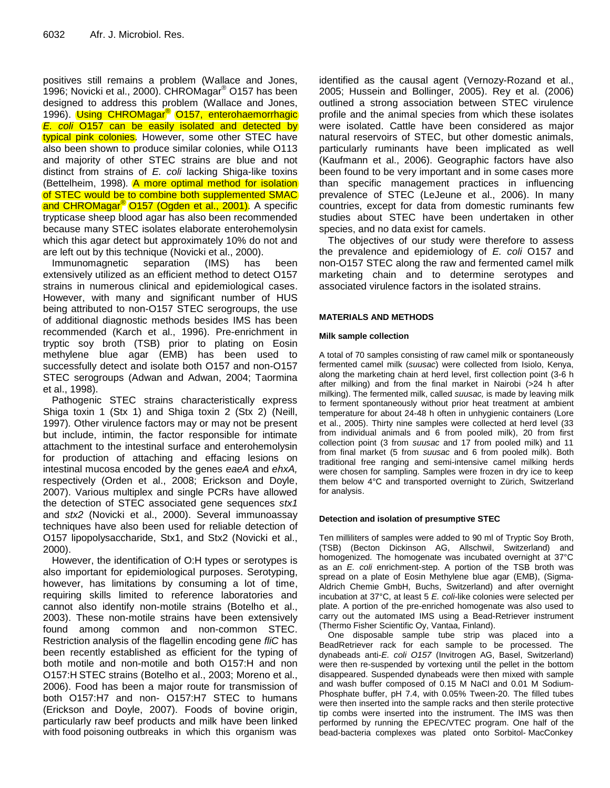positives still remains a problem (Wallace and Jones, 1996; Novicki et al., 2000). CHROMagar® O157 has been designed to address this problem (Wallace and Jones, 1996). Using CHROMagar<sup>®</sup> O157, enterohaemorrhagic *E. coli* O157 can be easily isolated and detected by typical pink colonies. However, some other STEC have also been shown to produce similar colonies, while O113 and majority of other STEC strains are blue and not distinct from strains of *E. coli* lacking Shiga-like toxins (Bettelheim, 1998)*.* A more optimal method for isolation of STEC would be to combine both supplemented SMAC and CHROMagar<sup>®</sup> O157 (Ogden et al., 2001). A specific trypticase sheep blood agar has also been recommended because many STEC isolates elaborate enterohemolysin which this agar detect but approximately 10% do not and are left out by this technique (Novicki et al., 2000).

Immunomagnetic separation (IMS) has been extensively utilized as an efficient method to detect O157 strains in numerous clinical and epidemiological cases. However, with many and significant number of HUS being attributed to non-O157 STEC serogroups, the use of additional diagnostic methods besides IMS has been recommended (Karch et al., 1996). Pre-enrichment in tryptic soy broth (TSB) prior to plating on Eosin methylene blue agar (EMB) has been used to successfully detect and isolate both O157 and non-O157 STEC serogroups (Adwan and Adwan, 2004; Taormina et al., 1998).

Pathogenic STEC strains characteristically express Shiga toxin 1 (Stx 1) and Shiga toxin 2 (Stx 2) (Neill, 1997)*.* Other virulence factors may or may not be present but include, intimin, the factor responsible for intimate attachment to the intestinal surface and enterohemolysin for production of attaching and effacing lesions on intestinal mucosa encoded by the genes *eaeA* and *ehxA,*  respectively (Orden et al., 2008; Erickson and Doyle, 2007). Various multiplex and single PCRs have allowed the detection of STEC associated gene sequences *stx1*  and *stx2* (Novicki et al., 2000). Several immunoassay techniques have also been used for reliable detection of O157 lipopolysaccharide, Stx1, and Stx2 (Novicki et al., 2000).

However, the identification of O:H types or serotypes is also important for epidemiological purposes. Serotyping, however, has limitations by consuming a lot of time, requiring skills limited to reference laboratories and cannot also identify non-motile strains (Botelho et al., 2003). These non-motile strains have been extensively found among common and non-common STEC. Restriction analysis of the flagellin encoding gene *fliC* has been recently established as efficient for the typing of both motile and non-motile and both O157:H and non O157:H STEC strains (Botelho et al., 2003; Moreno et al., 2006). Food has been a major route for transmission of both O157:H7 and non- O157:H7 STEC to humans (Erickson and Doyle, 2007). Foods of bovine origin, particularly raw beef products and milk have been linked with food poisoning outbreaks in which this organism was

identified as the causal agent (Vernozy-Rozand et al., 2005; Hussein and Bollinger, 2005). Rey et al. (2006) outlined a strong association between STEC virulence profile and the animal species from which these isolates were isolated. Cattle have been considered as major natural reservoirs of STEC, but other domestic animals, particularly ruminants have been implicated as well (Kaufmann et al., 2006). Geographic factors have also been found to be very important and in some cases more than specific management practices in influencing prevalence of STEC (LeJeune et al., 2006). In many countries, except for data from domestic ruminants few studies about STEC have been undertaken in other species, and no data exist for camels.

The objectives of our study were therefore to assess the prevalence and epidemiology of *E. coli* O157 and non-O157 STEC along the raw and fermented camel milk marketing chain and to determine serotypes and associated virulence factors in the isolated strains.

## **MATERIALS AND METHODS**

#### **Milk sample collection**

A total of 70 samples consisting of raw camel milk or spontaneously fermented camel milk (*suusac*) were collected from Isiolo, Kenya, along the marketing chain at herd level, first collection point (3-6 h after milking) and from the final market in Nairobi (>24 h after milking). The fermented milk, called *suusac,* is made by leaving milk to ferment spontaneously without prior heat treatment at ambient temperature for about 24-48 h often in unhygienic containers (Lore et al., 2005). Thirty nine samples were collected at herd level (33 from individual animals and 6 from pooled milk), 20 from first collection point (3 from *suusac* and 17 from pooled milk) and 11 from final market (5 from *suusac* and 6 from pooled milk). Both traditional free ranging and semi-intensive camel milking herds were chosen for sampling. Samples were frozen in dry ice to keep them below 4°C and transported overnight to Zürich, Switzerland for analysis.

## **Detection and isolation of presumptive STEC**

Ten milliliters of samples were added to 90 ml of Tryptic Soy Broth, (TSB) (Becton Dickinson AG, Allschwil, Switzerland) and homogenized. The homogenate was incubated overnight at 37°C as an *E. coli* enrichment-step. A portion of the TSB broth was spread on a plate of Eosin Methylene blue agar (EMB), (Sigma-Aldrich Chemie GmbH, Buchs, Switzerland) and after overnight incubation at 37°C, at least 5 *E. coli*-like colonies were selected per plate. A portion of the pre-enriched homogenate was also used to carry out the automated IMS using a Bead-Retriever instrument (Thermo Fisher Scientific Oy, Vantaa, Finland).

One disposable sample tube strip was placed into a BeadRetriever rack for each sample to be processed. The dynabeads anti-*E. coli O157* (Invitrogen AG, Basel, Switzerland) were then re-suspended by vortexing until the pellet in the bottom disappeared. Suspended dynabeads were then mixed with sample and wash buffer composed of 0.15 M NaCl and 0.01 M Sodium-Phosphate buffer, pH 7.4, with 0.05% Tween-20. The filled tubes were then inserted into the sample racks and then sterile protective tip combs were inserted into the instrument. The IMS was then performed by running the EPEC/VTEC program. One half of the bead-bacteria complexes was plated onto Sorbitol- MacConkey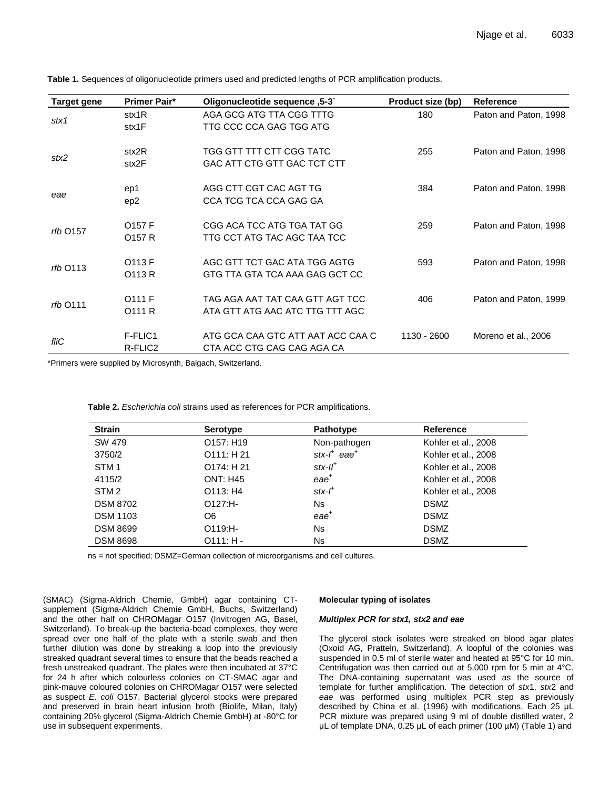| Target gene | <b>Primer Pair*</b> | Oligonucleotide sequence, 5-3                                      | Product size (bp) | Reference             |
|-------------|---------------------|--------------------------------------------------------------------|-------------------|-----------------------|
| stx1        | stx1R               | AGA GCG ATG TTA CGG TTTG                                           | 180               | Paton and Paton, 1998 |
|             | stx1F               | TTG CCC CCA GAG TGG ATG                                            |                   |                       |
|             | stx2R               | TGG GTT TTT CTT CGG TATC                                           | 255               | Paton and Paton, 1998 |
| stx2        | stx2F               | GAC ATT CTG GTT GAC TCT CTT                                        |                   |                       |
|             | ep1                 | AGG CTT CGT CAC AGT TG                                             | 384               | Paton and Paton, 1998 |
| eae         | ep2                 | CCA TCG TCA CCA GAG GA                                             |                   |                       |
|             | O157 F              | CGG ACA TCC ATG TGA TAT GG                                         | 259               | Paton and Paton, 1998 |
| $rfb$ O157  | 0157 R              | TTG CCT ATG TAC AGC TAA TCC                                        |                   |                       |
|             | O113 F              | AGC GTT TCT GAC ATA TGG AGTG                                       | 593               | Paton and Paton, 1998 |
| $rfb$ O113  | 0113 R              | GTG TTA GTA TCA AAA GAG GCT CC                                     |                   |                       |
|             |                     |                                                                    |                   |                       |
| $rfb$ O111  | 0111 F<br>0111 R    | TAG AGA AAT TAT CAA GTT AGT TCC<br>ATA GTT ATG AAC ATC TTG TTT AGC | 406               | Paton and Paton, 1999 |
|             |                     |                                                                    |                   |                       |
| fliC        | F-FLIC1             | ATG GCA CAA GTC ATT AAT ACC CAA C                                  | 1130 - 2600       | Moreno et al., 2006   |
|             | R-FLIC <sub>2</sub> | CTA ACC CTG CAG CAG AGA CA                                         |                   |                       |

**Table 1.** Sequences of oligonucleotide primers used and predicted lengths of PCR amplification products.

\*Primers were supplied by Microsynth, Balgach, Switzerland.

| <b>Strain</b>    | Serotype                           | <b>Pathotype</b>         | Reference           |
|------------------|------------------------------------|--------------------------|---------------------|
| SW 479           | O <sub>157</sub> : H <sub>19</sub> | Non-pathogen             | Kohler et al., 2008 |
| 3750/2           | O111: H21                          | $str-f$ eae <sup>+</sup> | Kohler et al., 2008 |
| STM 1            | O174: H 21                         | $stx-If$                 | Kohler et al., 2008 |
| 4115/2           | <b>ONT: H45</b>                    | $eae^+$                  | Kohler et al., 2008 |
| STM <sub>2</sub> | O113: H4                           | stx-l <sup>+</sup>       | Kohler et al., 2008 |
| <b>DSM 8702</b>  | $O127: H -$                        | <b>Ns</b>                | <b>DSMZ</b>         |
| <b>DSM 1103</b>  | O6                                 | $eae^+$                  | <b>DSMZ</b>         |
| <b>DSM 8699</b>  | $O119: H -$                        | Ns                       | <b>DSMZ</b>         |
| <b>DSM 8698</b>  | $O111: H -$                        | Ns.                      | <b>DSMZ</b>         |
|                  |                                    |                          |                     |

**Table 2.** *Escherichia coli* strains used as references for PCR amplifications.

ns = not specified; DSMZ=German collection of microorganisms and cell cultures.

(SMAC) (Sigma-Aldrich Chemie, GmbH) agar containing CTsupplement (Sigma-Aldrich Chemie GmbH, Buchs, Switzerland) and the other half on CHROMagar O157 (Invitrogen AG, Basel, Switzerland). To break-up the bacteria-bead complexes, they were spread over one half of the plate with a sterile swab and then further dilution was done by streaking a loop into the previously streaked quadrant several times to ensure that the beads reached a fresh unstreaked quadrant. The plates were then incubated at 37°C for 24 h after which colourless colonies on CT-SMAC agar and pink-mauve coloured colonies on CHROMagar O157 were selected as suspect *E. coli* O157. Bacterial glycerol stocks were prepared and preserved in brain heart infusion broth (Biolife, Milan, Italy) containing 20% glycerol (Sigma-Aldrich Chemie GmbH) at -80°C for use in subsequent experiments.

#### **Molecular typing of isolates**

#### *Multiplex PCR for stx1, stx2 and eae*

The glycerol stock isolates were streaked on blood agar plates (Oxoid AG, Pratteln, Switzerland). A loopful of the colonies was suspended in 0.5 ml of sterile water and heated at 95°C for 10 min. Centrifugation was then carried out at 5,000 rpm for 5 min at 4°C. The DNA-containing supernatant was used as the source of template for further amplification. The detection of *stx*1, *stx*2 and *eae* was performed using multiplex PCR step as previously described by China et al. (1996) with modifications. Each 25 μL PCR mixture was prepared using 9 ml of double distilled water, 2 μL of template DNA, 0.25 μL of each primer (100 µM) (Table 1) and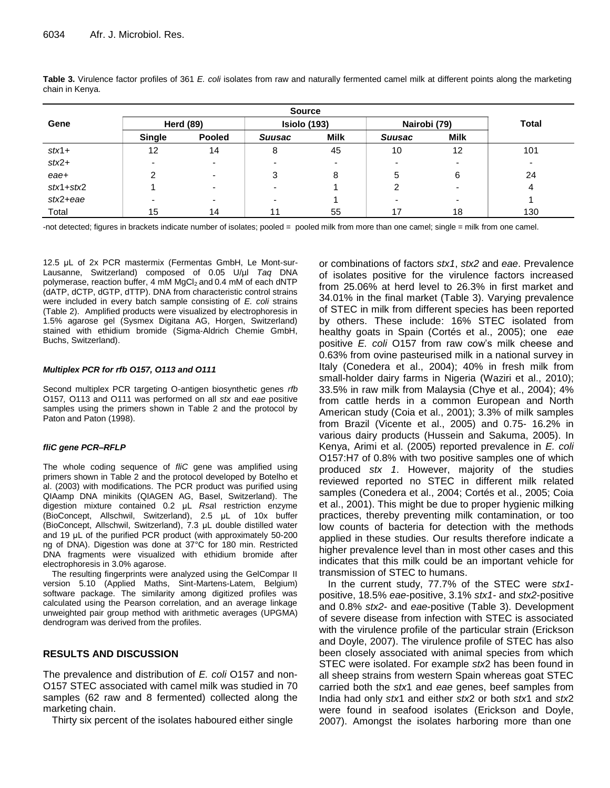|             | <b>Source</b>    |        |                     |             |              |             |                          |
|-------------|------------------|--------|---------------------|-------------|--------------|-------------|--------------------------|
| Gene        | <b>Herd (89)</b> |        | <b>Isiolo (193)</b> |             | Nairobi (79) |             | <b>Total</b>             |
|             | Single           | Pooled | <b>Suusac</b>       | <b>Milk</b> | Suusac       | <b>Milk</b> |                          |
| $stx1+$     | 12               | 14     | 8                   | 45          | 10           | 12          | 101                      |
| $stx2+$     |                  |        | -                   |             |              |             | $\overline{\phantom{a}}$ |
| eae+        |                  |        | 3                   | 8           | 5            | 6           | 24                       |
| $stx1+stx2$ |                  |        |                     |             |              |             | 4                        |
| $stx2+eae$  |                  |        | -                   |             |              |             |                          |
| Total       | 15               | 14     | 11                  | 55          | 17           | 18          | 130                      |

**Table 3.** Virulence factor profiles of 361 *E. coli* isolates from raw and naturally fermented camel milk at different points along the marketing chain in Kenya.

-not detected; figures in brackets indicate number of isolates; pooled = pooled milk from more than one camel; single = milk from one camel.

12.5 μL of 2x PCR mastermix (Fermentas GmbH, Le Mont-sur-Lausanne, Switzerland) composed of 0.05 U/µl *Taq* DNA polymerase, reaction buffer, 4 mM MgCl<sub>2</sub> and 0.4 mM of each dNTP (dATP, dCTP, dGTP, dTTP). DNA from characteristic control strains were included in every batch sample consisting of *E. coli* strains (Table 2). Amplified products were visualized by electrophoresis in 1.5% agarose gel (Sysmex Digitana AG, Horgen, Switzerland) stained with ethidium bromide (Sigma-Aldrich Chemie GmbH, Buchs, Switzerland).

#### *Multiplex PCR for rfb O157, O113 and O111*

Second multiplex PCR targeting O-antigen biosynthetic genes *rfb* O157*,* O113 and O111 was performed on all *stx* and *eae* positive samples using the primers shown in Table 2 and the protocol by Paton and Paton (1998).

## *fliC gene PCR–RFLP*

The whole coding sequence of *fliC* gene was amplified using primers shown in Table 2 and the protocol developed by Botelho et al. (2003) with modifications. The PCR product was purified using QIAamp DNA minikits (QIAGEN AG, Basel, Switzerland). The digestion mixture contained 0.2 μL *Rsa*I restriction enzyme (BioConcept, Allschwil, Switzerland), 2.5 μL of 10x buffer (BioConcept, Allschwil, Switzerland), 7.3 μL double distilled water and 19 μL of the purified PCR product (with approximately 50-200 ng of DNA). Digestion was done at 37°C for 180 min. Restricted DNA fragments were visualized with ethidium bromide after electrophoresis in 3.0% agarose.

The resulting fingerprints were analyzed using the GelCompar II version 5.10 (Applied Maths, Sint-Martens-Latem, Belgium) software package. The similarity among digitized profiles was calculated using the Pearson correlation, and an average linkage unweighted pair group method with arithmetic averages (UPGMA) dendrogram was derived from the profiles.

# **RESULTS AND DISCUSSION**

The prevalence and distribution of *E. coli* O157 and non-O157 STEC associated with camel milk was studied in 70 samples (62 raw and 8 fermented) collected along the marketing chain.

Thirty six percent of the isolates haboured either single

or combinations of factors *stx1*, *stx2* and *eae*. Prevalence of isolates positive for the virulence factors increased from 25.06% at herd level to 26.3% in first market and 34.01% in the final market (Table 3). Varying prevalence of STEC in milk from different species has been reported by others. These include: 16% STEC isolated from healthy goats in Spain (Cortés et al., 2005); one *eae* positive *E. coli* O157 from raw cow's milk cheese and 0.63% from ovine pasteurised milk in a national survey in Italy (Conedera et al., 2004); 40% in fresh milk from small-holder dairy farms in Nigeria (Waziri et al., 2010); 33.5% in raw milk from Malaysia (Chye et al., 2004); 4% from cattle herds in a common European and North American study (Coia et al., 2001); 3.3% of milk samples from Brazil (Vicente et al., 2005) and 0.75- 16.2% in various dairy products (Hussein and Sakuma, 2005). In Kenya, Arimi et al. (2005) reported prevalence in *E. coli* O157:H7 of 0.8% with two positive samples one of which produced *stx 1*. However, majority of the studies reviewed reported no STEC in different milk related samples (Conedera et al., 2004; Cortés et al., 2005; Coia et al., 2001). This might be due to proper hygienic milking practices, thereby preventing milk contamination, or too low counts of bacteria for detection with the methods applied in these studies. Our results therefore indicate a higher prevalence level than in most other cases and this indicates that this milk could be an important vehicle for transmission of STEC to humans.

In the current study, 77.7% of the STEC were *stx1* positive, 18.5% *eae*-positive, 3.1% *stx1-* and *stx2*-positive and 0.8% *stx2-* and *eae*-positive (Table 3). Development of severe disease from infection with STEC is associated with the virulence profile of the particular strain (Erickson and Doyle, 2007). The virulence profile of STEC has also been closely associated with animal species from which STEC were isolated. For example *stx*2 has been found in all sheep strains from western Spain whereas goat STEC carried both the *stx*1 and *eae* genes, beef samples from India had only *stx*1 and either *stx*2 or both *stx*1 and *stx*2 were found in seafood isolates (Erickson and Doyle, 2007). Amongst the isolates harboring more than one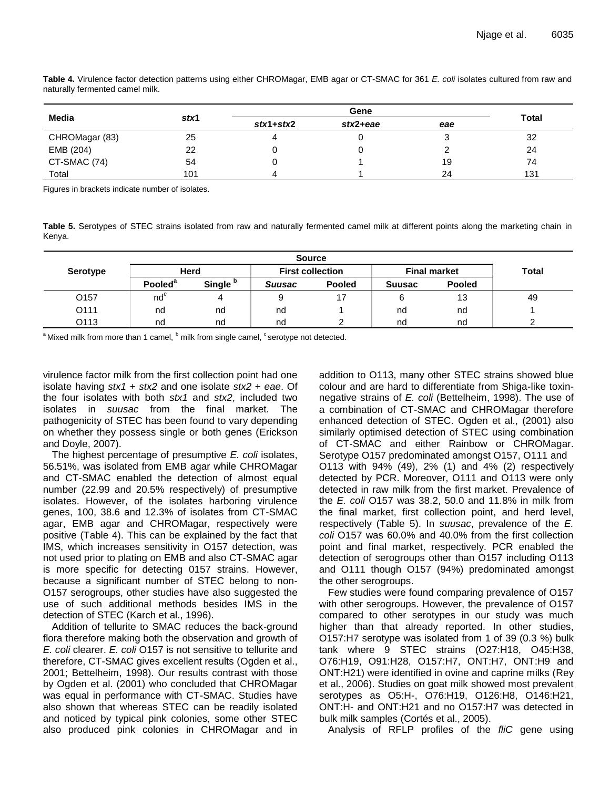| Media          | stx1 | $stx1 + stx2$ | $stx2+ee$ | eae | <b>Total</b> |
|----------------|------|---------------|-----------|-----|--------------|
| CHROMagar (83) | 25   |               |           |     | 32           |
| EMB (204)      | 22   |               |           |     | 24           |
| CT-SMAC (74)   | 54   |               |           | 19  | 74           |
| Total          | 101  | ⊿             |           | 24  | 131          |

**Table 4.** Virulence factor detection patterns using either CHROMagar, EMB agar or CT-SMAC for 361 *E. coli* isolates cultured from raw and naturally fermented camel milk.

Figures in brackets indicate number of isolates.

**Table 5.** Serotypes of STEC strains isolated from raw and naturally fermented camel milk at different points along the marketing chain in Kenya.

| Serotype         | Herd                       |                     | <b>First collection</b> |               | <b>Final market</b> |               | <b>Total</b> |
|------------------|----------------------------|---------------------|-------------------------|---------------|---------------------|---------------|--------------|
|                  | <b>Pooled</b> <sup>a</sup> | Single <sup>b</sup> | <b>Suusac</b>           | <b>Pooled</b> | Suusac              | <b>Pooled</b> |              |
| O <sub>157</sub> | $nd^c$                     | 4                   | o                       | 17            |                     | 13            | 49           |
| O <sub>111</sub> | nd                         | nd                  | nd                      |               | nd                  | nd            |              |
| O <sub>113</sub> | nd                         | nd                  | nd                      | ົ             | nd                  | nd            |              |

<sup>a</sup> Mixed milk from more than 1 camel, <sup>b</sup> milk from single camel, <sup>c</sup> serotype not detected.

virulence factor milk from the first collection point had one isolate having *stx1* + *stx2* and one isolate *stx2* + *eae*. Of the four isolates with both *stx1* and *stx2*, included two isolates in *suusac* from the final market. The pathogenicity of STEC has been found to vary depending on whether they possess single or both genes (Erickson and Doyle, 2007).

The highest percentage of presumptive *E. coli* isolates, 56.51%, was isolated from EMB agar while CHROMagar and CT-SMAC enabled the detection of almost equal number (22.99 and 20.5% respectively) of presumptive isolates. However, of the isolates harboring virulence genes, 100, 38.6 and 12.3% of isolates from CT-SMAC agar, EMB agar and CHROMagar, respectively were positive (Table 4). This can be explained by the fact that IMS, which increases sensitivity in O157 detection, was not used prior to plating on EMB and also CT-SMAC agar is more specific for detecting 0157 strains. However, because a significant number of STEC belong to non-O157 serogroups, other studies have also suggested the use of such additional methods besides IMS in the detection of STEC (Karch et al., 1996).

Addition of tellurite to SMAC reduces the back-ground flora therefore making both the observation and growth of *E. coli* clearer. *E. coli* O157 is not sensitive to tellurite and therefore, CT-SMAC gives excellent results (Ogden et al., 2001; Bettelheim, 1998). Our results contrast with those by Ogden et al. (2001) who concluded that CHROMagar was equal in performance with CT-SMAC. Studies have also shown that whereas STEC can be readily isolated and noticed by typical pink colonies, some other STEC also produced pink colonies in CHROMagar and in addition to O113, many other STEC strains showed blue colour and are hard to differentiate from Shiga-like toxinnegative strains of *E. coli* (Bettelheim, 1998). The use of a combination of CT-SMAC and CHROMagar therefore enhanced detection of STEC. Ogden et al., (2001) also similarly optimised detection of STEC using combination of CT-SMAC and either Rainbow or CHROMagar. Serotype O157 predominated amongst O157, O111 and O113 with 94% (49), 2% (1) and 4% (2) respectively detected by PCR. Moreover, O111 and O113 were only detected in raw milk from the first market. Prevalence of the *E. coli* O157 was 38.2, 50.0 and 11.8% in milk from the final market, first collection point, and herd level, respectively (Table 5). In *suusac*, prevalence of the *E. coli* O157 was 60.0% and 40.0% from the first collection point and final market, respectively. PCR enabled the detection of serogroups other than O157 including O113 and O111 though O157 (94%) predominated amongst the other serogroups.

Few studies were found comparing prevalence of O157 with other serogroups. However, the prevalence of O157 compared to other serotypes in our study was much higher than that already reported. In other studies, O157:H7 serotype was isolated from 1 of 39 (0.3 %) bulk tank where 9 STEC strains (O27:H18, O45:H38, O76:H19, O91:H28, O157:H7, ONT:H7, ONT:H9 and ONT:H21) were identified in ovine and caprine milks (Rey et al., 2006). Studies on goat milk showed most prevalent serotypes as O5:H-, O76:H19, O126:H8, O146:H21, ONT:H- and ONT:H21 and no O157:H7 was detected in bulk milk samples (Cortés et al., 2005).

Analysis of RFLP profiles of the *fliC* gene using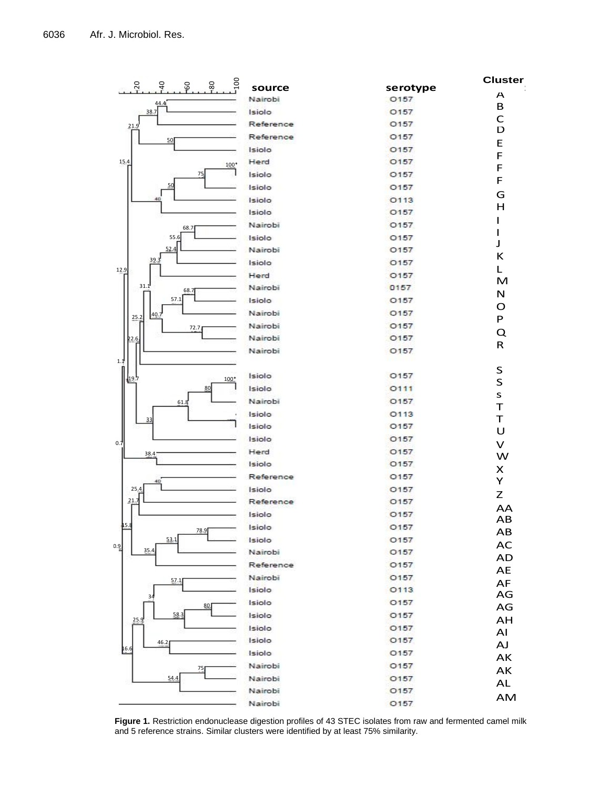| $\overline{5}$                                   |           |                  | <b>Cluster</b>   |
|--------------------------------------------------|-----------|------------------|------------------|
| $\frac{5}{2}$<br>$-40$<br>$-80$<br>$\frac{8}{5}$ | source    | serotype         | $\bigwedge$      |
| 44.41                                            | Nairobi   | 0157             | B                |
| 38.7                                             | Isiolo    | O <sub>157</sub> | $\mathsf{C}$     |
| 21.9                                             | Reference | O <sub>157</sub> | D                |
| 50                                               | Reference | O157             | E                |
|                                                  | Isiolo    | O157             | F                |
| 15.4<br>100*<br>٠                                | Herd      | O <sub>157</sub> | F                |
| 75                                               | Isiolo    | O <sub>157</sub> | F                |
| 50                                               | Isiolo    | O <sub>157</sub> | G                |
| 40                                               | Isiolo    | O113             | Н                |
|                                                  | Isiolo    | O157             | ı                |
| 68.7                                             | Nairobi   | O157             |                  |
| 55.6                                             | Isiolo    | O <sub>157</sub> | J                |
| 52.4                                             | Nairobi   | O <sub>157</sub> | Κ                |
| 39.3<br>12.9                                     | Isiolo    | O157             | Г                |
|                                                  | Herd      | O <sub>157</sub> | M                |
| 31.1<br>68.7                                     | Nairobi   | 0157             | N                |
| 57.1                                             | Isiolo    | O <sub>157</sub> | O                |
| 40.7<br>25.2                                     | Nairobi   | O <sub>157</sub> | P                |
| 72.7                                             | Nairobi   | O157             |                  |
| 2.6                                              | Nairobi   | O157             | Q                |
|                                                  | Nairobi   | O <sub>157</sub> | R                |
| 1.1 <sup>1</sup>                                 |           |                  |                  |
| 19.7<br>$100*$                                   | Isiolo    | O157             | $\sf S$          |
| 80                                               | Isiolo    | O <sub>111</sub> | S                |
| 61.8                                             | Nairobi   | O <sub>157</sub> | $\sf S$          |
|                                                  | Isiolo    | O <sub>113</sub> | $\mathsf T$<br>T |
| 33                                               | Isiolo    | O <sub>157</sub> | U                |
| 0.7                                              | Isiolo    | O <sub>157</sub> |                  |
| 38.4                                             | Herd      | O157             | V                |
|                                                  | Isiolo    | O <sub>157</sub> | W                |
|                                                  | Reference | O <sub>157</sub> | X                |
| 40<br>25.4                                       | Isiolo    | O <sub>157</sub> | Υ                |
| 21.7                                             | Reference | O <sub>157</sub> | Z                |
|                                                  | Isiolo    | O <sub>157</sub> | AA               |
| 5.8                                              | Isiolo    | 0157             | AB               |
| 78.9<br>53.1                                     | Isiolo    | O <sub>157</sub> | AB               |
| $^{0.9}$<br>35.4                                 | Nairobi   | O <sub>157</sub> | AC               |
|                                                  | Reference | O157             | <b>AD</b>        |
|                                                  | Nairobi   | O157             | AE               |
| 57.1                                             | Isiolo    | O <sub>113</sub> | AF               |
| 34                                               | Isiolo    | O <sub>157</sub> | AG               |
| 80<br>58.3                                       | Isiolo    | O <sub>157</sub> | AG               |
| 25.9                                             | Isiolo    | O <sub>157</sub> | AH               |
|                                                  | Isiolo    | 0157             | AI               |
| 46.2<br>16.6                                     | Isiolo    | O <sub>157</sub> | <b>AJ</b>        |
|                                                  |           |                  | AK               |
| 75                                               | Nairobi   | O <sub>157</sub> | AK               |
| 54.4                                             | Nairobi   | O157             | <b>AL</b>        |
|                                                  | Nairobi   | O <sub>157</sub> | <b>AM</b>        |
|                                                  | Nairobi   | O <sub>157</sub> |                  |

**Figure 1.** Restriction endonuclease digestion profiles of 43 STEC isolates from raw and fermented camel milk and 5 reference strains. Similar clusters were identified by at least 75% similarity.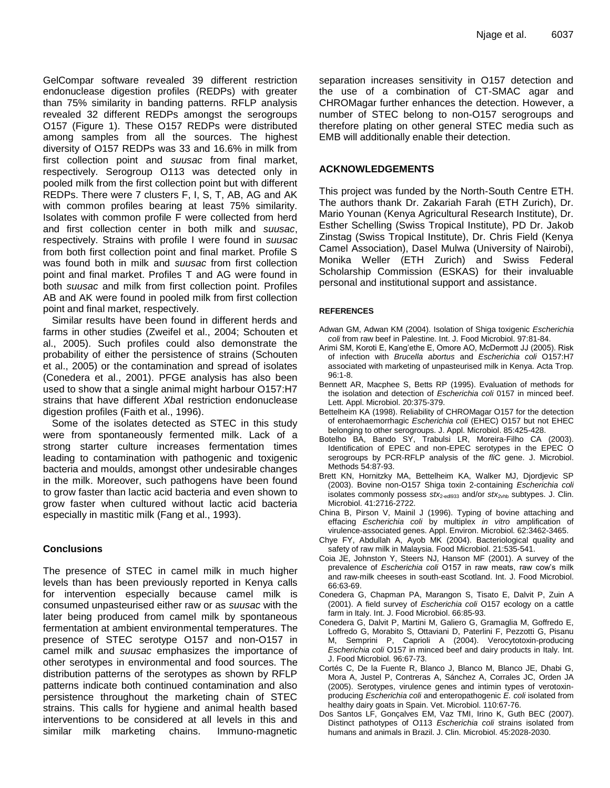GelCompar software revealed 39 different restriction endonuclease digestion profiles (REDPs) with greater than 75% similarity in banding patterns. RFLP analysis revealed 32 different REDPs amongst the serogroups O157 (Figure 1). These O157 REDPs were distributed among samples from all the sources. The highest diversity of O157 REDPs was 33 and 16.6% in milk from first collection point and *suusac* from final market, respectively. Serogroup O113 was detected only in pooled milk from the first collection point but with different REDPs. There were 7 clusters F, I, S, T, AB, AG and AK with common profiles bearing at least 75% similarity. Isolates with common profile F were collected from herd and first collection center in both milk and *suusac*, respectively. Strains with profile I were found in *suusac* from both first collection point and final market. Profile S was found both in milk and *suusac* from first collection point and final market. Profiles T and AG were found in both *suusac* and milk from first collection point. Profiles AB and AK were found in pooled milk from first collection point and final market, respectively.

Similar results have been found in different herds and farms in other studies (Zweifel et al., 2004; Schouten et al., 2005). Such profiles could also demonstrate the probability of either the persistence of strains (Schouten et al., 2005) or the contamination and spread of isolates (Conedera et al., 2001). PFGE analysis has also been used to show that a single animal might harbour O157:H7 strains that have different *Xba*I restriction endonuclease digestion profiles (Faith et al., 1996).

Some of the isolates detected as STEC in this study were from spontaneously fermented milk. Lack of a strong starter culture increases fermentation times leading to contamination with pathogenic and toxigenic bacteria and moulds, amongst other undesirable changes in the milk. Moreover, such pathogens have been found to grow faster than lactic acid bacteria and even shown to grow faster when cultured without lactic acid bacteria especially in mastitic milk (Fang et al., 1993).

## **Conclusions**

The presence of STEC in camel milk in much higher levels than has been previously reported in Kenya calls for intervention especially because camel milk is consumed unpasteurised either raw or as *suusac* with the later being produced from camel milk by spontaneous fermentation at ambient environmental temperatures. The presence of STEC serotype O157 and non-O157 in camel milk and *suusac* emphasizes the importance of other serotypes in environmental and food sources. The distribution patterns of the serotypes as shown by RFLP patterns indicate both continued contamination and also persistence throughout the marketing chain of STEC strains. This calls for hygiene and animal health based interventions to be considered at all levels in this and similar milk marketing chains. Immuno-magnetic

separation increases sensitivity in O157 detection and the use of a combination of CT-SMAC agar and CHROMagar further enhances the detection. However, a number of STEC belong to non-O157 serogroups and therefore plating on other general STEC media such as EMB will additionally enable their detection.

## **ACKNOWLEDGEMENTS**

This project was funded by the North-South Centre ETH. The authors thank Dr. Zakariah Farah (ETH Zurich), Dr. Mario Younan (Kenya Agricultural Research Institute), Dr. Esther Schelling (Swiss Tropical Institute), PD Dr. Jakob Zinstag (Swiss Tropical Institute), Dr. Chris Field (Kenya Camel Association), Dasel Mulwa (University of Nairobi), Monika Weller (ETH Zurich) and Swiss Federal Scholarship Commission (ESKAS) for their invaluable personal and institutional support and assistance.

#### **REFERENCES**

- Adwan GM, Adwan KM (2004). Isolation of Shiga toxigenic *Escherichia coli* from raw beef in Palestine. Int. J. Food Microbiol. 97:81-84.
- Arimi SM, Koroti E, Kang'ethe E, Omore AO, McDermott JJ (2005). Risk of infection with *Brucella abortus* and *Escherichia coli* O157:H7 associated with marketing of unpasteurised milk in Kenya. Acta Trop*.*  96:1-8.
- Bennett AR, Macphee S, Betts RP (1995). Evaluation of methods for the isolation and detection of *Escherichia coli* 0157 in minced beef. Lett. Appl. Microbiol. 20:375-379.
- Bettelheim KA (1998). Reliability of CHROMagar O157 for the detection of enterohaemorrhagic *Escherichia coli* (EHEC) O157 but not EHEC belonging to other serogroups. J. Appl. Microbiol. 85:425-428.
- Botelho BA, Bando SY, Trabulsi LR, Moreira-Filho CA (2003). Identification of EPEC and non-EPEC serotypes in the EPEC O serogroups by PCR-RFLP analysis of the *fli*C gene. J. Microbiol. Methods 54:87-93.
- Brett KN, Hornitzky MA, Bettelheim KA, Walker MJ, Djordjevic SP (2003). Bovine non-O157 Shiga toxin 2-containing *Escherichia coli*  isolates commonly possess stx<sub>2-edl933</sub> and/or stx<sub>2vhb</sub> subtypes. J. Clin. Microbiol. 41:2716-2722.
- China B, Pirson V, Mainil J (1996). Typing of bovine attaching and effacing *Escherichia coli* by multiplex *in vitro* amplification of virulence-associated genes. Appl. Environ. Microbiol. 62:3462-3465.
- Chye FY, Abdullah A, Ayob MK (2004). Bacteriological quality and safety of raw milk in Malaysia. Food Microbiol. 21:535-541.
- Coia JE, Johnston Y, Steers NJ, Hanson MF (2001). A survey of the prevalence of *Escherichia coli* O157 in raw meats, raw cow's milk and raw-milk cheeses in south-east Scotland. Int. J. Food Microbiol. 66:63-69.
- Conedera G, Chapman PA, Marangon S, Tisato E, Dalvit P, Zuin A (2001). A field survey of *Escherichia coli* O157 ecology on a cattle farm in Italy. Int. J. Food Microbiol. 66:85-93.
- Conedera G, Dalvit P, Martini M, Galiero G, Gramaglia M, Goffredo E, Loffredo G, Morabito S, Ottaviani D, Paterlini F, Pezzotti G, Pisanu M, Semprini P, Caprioli A (2004). Verocytotoxin-producing *Escherichia coli* O157 in minced beef and dairy products in Italy. Int. J. Food Microbiol. 96:67-73.
- Cortés C, De la Fuente R, Blanco J, Blanco M, Blanco JE, Dhabi G, Mora A, Justel P, Contreras A, Sánchez A, Corrales JC, Orden JA (2005). Serotypes, virulence genes and intimin types of verotoxinproducing *Escherichia coli* and enteropathogenic *E. coli* isolated from healthy dairy goats in Spain. Vet. Microbiol. 110:67-76.
- Dos Santos LF, Gonçalves EM, Vaz TMI, Irino K, Guth BEC (2007). Distinct pathotypes of O113 *Escherichia coli* strains isolated from humans and animals in Brazil. J. Clin. Microbiol. 45:2028-2030.